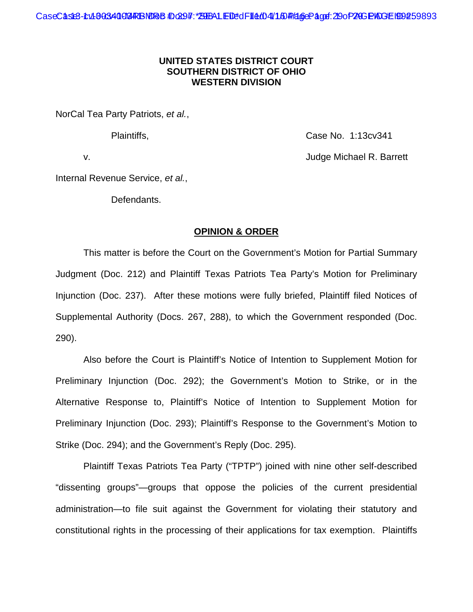# **UNITED STATES DISTRICT COURT SOUTHERN DISTRICT OF OHIO WESTERN DIVISION**

NorCal Tea Party Patriots, *et al.*,

Plaintiffs, Case No. 1:13cv341

v. Judge Michael R. Barrett

Internal Revenue Service, *et al.*,

Defendants.

# **OPINION & ORDER**

This matter is before the Court on the Government's Motion for Partial Summary Judgment (Doc. 212) and Plaintiff Texas Patriots Tea Party's Motion for Preliminary Injunction (Doc. 237). After these motions were fully briefed, Plaintiff filed Notices of Supplemental Authority (Docs. 267, 288), to which the Government responded (Doc. 290).

Also before the Court is Plaintiff's Notice of Intention to Supplement Motion for Preliminary Injunction (Doc. 292); the Government's Motion to Strike, or in the Alternative Response to, Plaintiff's Notice of Intention to Supplement Motion for Preliminary Injunction (Doc. 293); Plaintiff's Response to the Government's Motion to Strike (Doc. 294); and the Government's Reply (Doc. 295).

Plaintiff Texas Patriots Tea Party ("TPTP") joined with nine other self-described "dissenting groups"—groups that oppose the policies of the current presidential administration—to file suit against the Government for violating their statutory and constitutional rights in the processing of their applications for tax exemption. Plaintiffs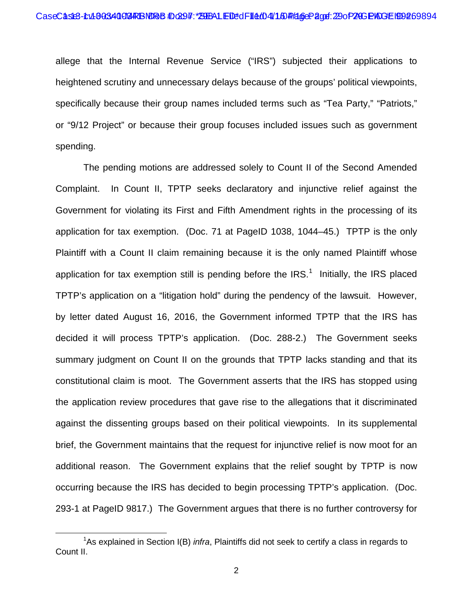allege that the Internal Revenue Service ("IRS") subjected their applications to heightened scrutiny and unnecessary delays because of the groups' political viewpoints, specifically because their group names included terms such as "Tea Party," "Patriots," or "9/12 Project" or because their group focuses included issues such as government spending.

The pending motions are addressed solely to Count II of the Second Amended Complaint. In Count II, TPTP seeks declaratory and injunctive relief against the Government for violating its First and Fifth Amendment rights in the processing of its application for tax exemption. (Doc. 71 at PageID 1038, 1044–45.) TPTP is the only Plaintiff with a Count II claim remaining because it is the only named Plaintiff whose application for tax exemption still is pending before the IRS.<sup>1</sup> Initially, the IRS placed TPTP's application on a "litigation hold" during the pendency of the lawsuit. However, by letter dated August 16, 2016, the Government informed TPTP that the IRS has decided it will process TPTP's application. (Doc. 288-2.) The Government seeks summary judgment on Count II on the grounds that TPTP lacks standing and that its constitutional claim is moot. The Government asserts that the IRS has stopped using the application review procedures that gave rise to the allegations that it discriminated against the dissenting groups based on their political viewpoints. In its supplemental brief, the Government maintains that the request for injunctive relief is now moot for an additional reason. The Government explains that the relief sought by TPTP is now occurring because the IRS has decided to begin processing TPTP's application. (Doc. 293-1 at PageID 9817.) The Government argues that there is no further controversy for

 $\overline{a}$ 

<sup>&</sup>lt;sup>1</sup>As explained in Section I(B) *infra*, Plaintiffs did not seek to certify a class in regards to Count II.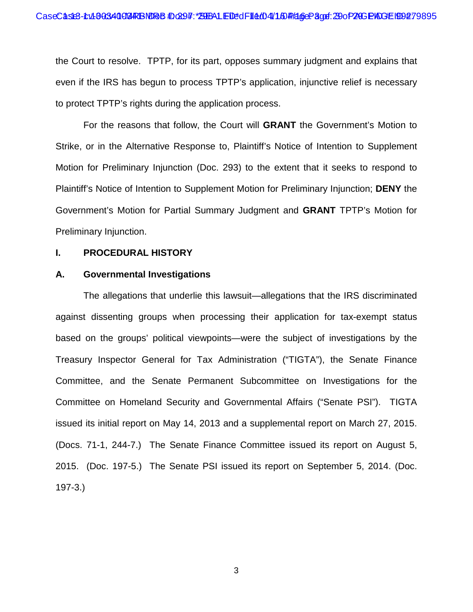the Court to resolve. TPTP, for its part, opposes summary judgment and explains that even if the IRS has begun to process TPTP's application, injunctive relief is necessary to protect TPTP's rights during the application process.

For the reasons that follow, the Court will **GRANT** the Government's Motion to Strike, or in the Alternative Response to, Plaintiff's Notice of Intention to Supplement Motion for Preliminary Injunction (Doc. 293) to the extent that it seeks to respond to Plaintiff's Notice of Intention to Supplement Motion for Preliminary Injunction; **DENY** the Government's Motion for Partial Summary Judgment and **GRANT** TPTP's Motion for Preliminary Injunction.

# **I. PROCEDURAL HISTORY**

### **A. Governmental Investigations**

The allegations that underlie this lawsuit—allegations that the IRS discriminated against dissenting groups when processing their application for tax-exempt status based on the groups' political viewpoints—were the subject of investigations by the Treasury Inspector General for Tax Administration ("TIGTA"), the Senate Finance Committee, and the Senate Permanent Subcommittee on Investigations for the Committee on Homeland Security and Governmental Affairs ("Senate PSI"). TIGTA issued its initial report on May 14, 2013 and a supplemental report on March 27, 2015. (Docs. 71-1, 244-7.) The Senate Finance Committee issued its report on August 5, 2015. (Doc. 197-5.) The Senate PSI issued its report on September 5, 2014. (Doc. 197-3.)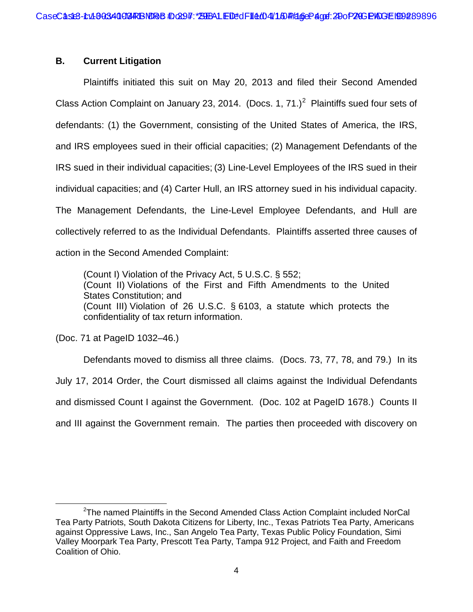# **B. Current Litigation**

Plaintiffs initiated this suit on May 20, 2013 and filed their Second Amended Class Action Complaint on January 23, 2014. (Docs. 1, 71.)<sup>2</sup> Plaintiffs sued four sets of defendants: (1) the Government, consisting of the United States of America, the IRS, and IRS employees sued in their official capacities; (2) Management Defendants of the IRS sued in their individual capacities; (3) Line-Level Employees of the IRS sued in their individual capacities; and (4) Carter Hull, an IRS attorney sued in his individual capacity. The Management Defendants, the Line-Level Employee Defendants, and Hull are collectively referred to as the Individual Defendants. Plaintiffs asserted three causes of action in the Second Amended Complaint:

(Count I) Violation of the Privacy Act, 5 U.S.C. § 552; (Count II) Violations of the First and Fifth Amendments to the United States Constitution; and (Count III) Violation of 26 U.S.C. § 6103, a statute which protects the confidentiality of tax return information.

(Doc. 71 at PageID 1032–46.)

Defendants moved to dismiss all three claims. (Docs. 73, 77, 78, and 79.) In its July 17, 2014 Order, the Court dismissed all claims against the Individual Defendants and dismissed Count I against the Government. (Doc. 102 at PageID 1678.) Counts II and III against the Government remain. The parties then proceeded with discovery on

 $\overline{a}$ <sup>2</sup>The named Plaintiffs in the Second Amended Class Action Complaint included NorCal Tea Party Patriots, South Dakota Citizens for Liberty, Inc., Texas Patriots Tea Party, Americans against Oppressive Laws, Inc., San Angelo Tea Party, Texas Public Policy Foundation, Simi Valley Moorpark Tea Party, Prescott Tea Party, Tampa 912 Project, and Faith and Freedom Coalition of Ohio.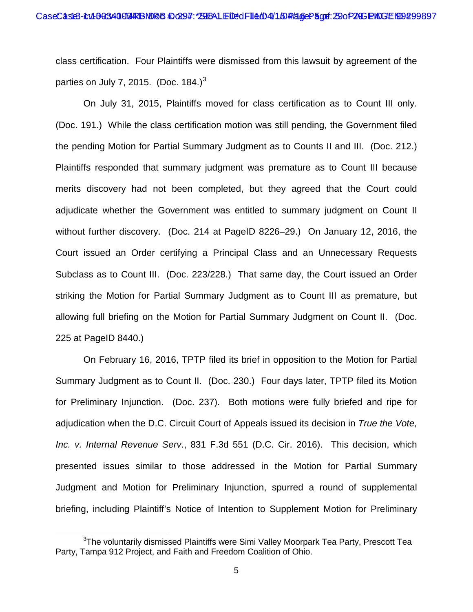class certification. Four Plaintiffs were dismissed from this lawsuit by agreement of the parties on July 7, 2015. (Doc.  $184.<sup>3</sup>$ )

On July 31, 2015, Plaintiffs moved for class certification as to Count III only. (Doc. 191.) While the class certification motion was still pending, the Government filed the pending Motion for Partial Summary Judgment as to Counts II and III. (Doc. 212.) Plaintiffs responded that summary judgment was premature as to Count III because merits discovery had not been completed, but they agreed that the Court could adjudicate whether the Government was entitled to summary judgment on Count II without further discovery. (Doc. 214 at PageID 8226–29.) On January 12, 2016, the Court issued an Order certifying a Principal Class and an Unnecessary Requests Subclass as to Count III. (Doc. 223/228.) That same day, the Court issued an Order striking the Motion for Partial Summary Judgment as to Count III as premature, but allowing full briefing on the Motion for Partial Summary Judgment on Count II. (Doc. 225 at PageID 8440.)

On February 16, 2016, TPTP filed its brief in opposition to the Motion for Partial Summary Judgment as to Count II. (Doc. 230.) Four days later, TPTP filed its Motion for Preliminary Injunction. (Doc. 237). Both motions were fully briefed and ripe for adjudication when the D.C. Circuit Court of Appeals issued its decision in *True the Vote, Inc. v. Internal Revenue Serv*., 831 F.3d 551 (D.C. Cir. 2016). This decision, which presented issues similar to those addressed in the Motion for Partial Summary Judgment and Motion for Preliminary Injunction, spurred a round of supplemental briefing, including Plaintiff's Notice of Intention to Supplement Motion for Preliminary

 $\overline{a}$ 

 ${}^{3}$ The voluntarily dismissed Plaintiffs were Simi Valley Moorpark Tea Party, Prescott Tea Party, Tampa 912 Project, and Faith and Freedom Coalition of Ohio.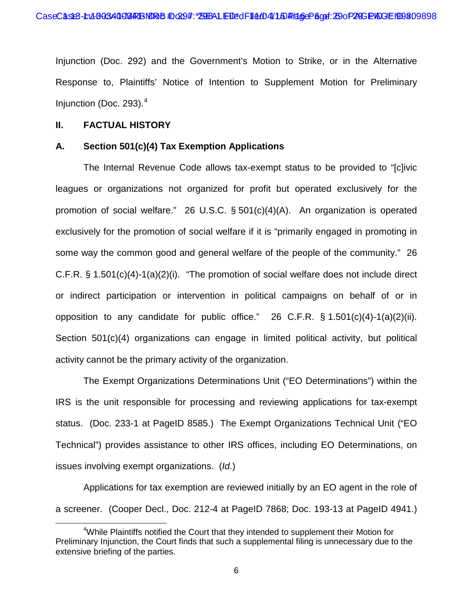Injunction (Doc. 292) and the Government's Motion to Strike, or in the Alternative Response to, Plaintiffs' Notice of Intention to Supplement Motion for Preliminary Injunction (Doc. 293). $<sup>4</sup>$ </sup>

# **II. FACTUAL HISTORY**

# **A. Section 501(c)(4) Tax Exemption Applications**

The Internal Revenue Code allows tax-exempt status to be provided to "[c]ivic leagues or organizations not organized for profit but operated exclusively for the promotion of social welfare." 26 U.S.C. § 501(c)(4)(A). An organization is operated exclusively for the promotion of social welfare if it is "primarily engaged in promoting in some way the common good and general welfare of the people of the community." 26 C.F.R. § 1.501(c)(4)-1(a)(2)(i). "The promotion of social welfare does not include direct or indirect participation or intervention in political campaigns on behalf of or in opposition to any candidate for public office." 26 C.F.R. § 1.501(c)(4)-1(a)(2)(ii). Section 501(c)(4) organizations can engage in limited political activity, but political activity cannot be the primary activity of the organization.

The Exempt Organizations Determinations Unit ("EO Determinations") within the IRS is the unit responsible for processing and reviewing applications for tax-exempt status. (Doc. 233-1 at PageID 8585.) The Exempt Organizations Technical Unit ("EO Technical") provides assistance to other IRS offices, including EO Determinations, on issues involving exempt organizations. (*Id.*)

Applications for tax exemption are reviewed initially by an EO agent in the role of a screener. (Cooper Decl., Doc. 212-4 at PageID 7868; Doc. 193-13 at PageID 4941.)

 $\overline{a}$ <sup>4</sup>While Plaintiffs notified the Court that they intended to supplement their Motion for Preliminary Injunction, the Court finds that such a supplemental filing is unnecessary due to the extensive briefing of the parties.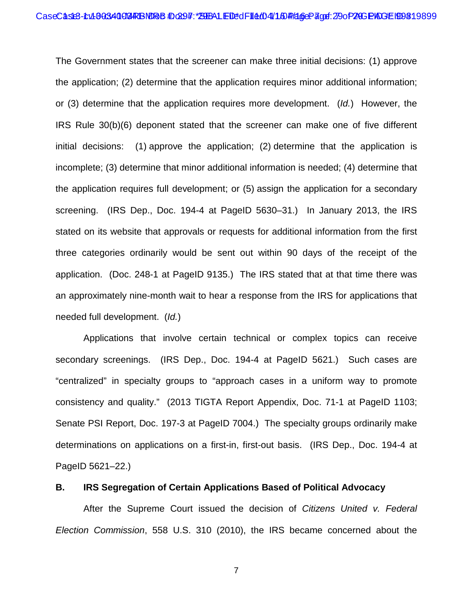The Government states that the screener can make three initial decisions: (1) approve the application; (2) determine that the application requires minor additional information; or (3) determine that the application requires more development. (*Id.*) However, the IRS Rule 30(b)(6) deponent stated that the screener can make one of five different initial decisions: (1) approve the application; (2) determine that the application is incomplete; (3) determine that minor additional information is needed; (4) determine that the application requires full development; or (5) assign the application for a secondary screening. (IRS Dep., Doc. 194-4 at PageID 5630–31.) In January 2013, the IRS stated on its website that approvals or requests for additional information from the first three categories ordinarily would be sent out within 90 days of the receipt of the application. (Doc. 248-1 at PageID 9135.) The IRS stated that at that time there was an approximately nine-month wait to hear a response from the IRS for applications that needed full development. (*Id.*)

Applications that involve certain technical or complex topics can receive secondary screenings. (IRS Dep., Doc. 194-4 at PageID 5621.) Such cases are "centralized" in specialty groups to "approach cases in a uniform way to promote consistency and quality." (2013 TIGTA Report Appendix, Doc. 71-1 at PageID 1103; Senate PSI Report, Doc. 197-3 at PageID 7004.) The specialty groups ordinarily make determinations on applications on a first-in, first-out basis. (IRS Dep., Doc. 194-4 at PageID 5621–22.)

# **B. IRS Segregation of Certain Applications Based of Political Advocacy**

After the Supreme Court issued the decision of *Citizens United v. Federal Election Commission*, 558 U.S. 310 (2010), the IRS became concerned about the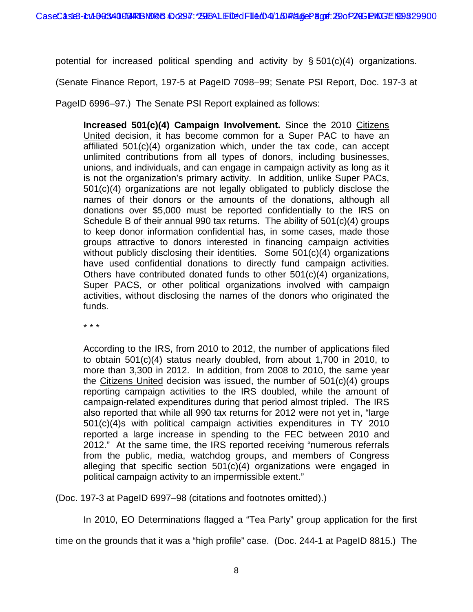potential for increased political spending and activity by § 501(c)(4) organizations.

(Senate Finance Report, 197-5 at PageID 7098–99; Senate PSI Report, Doc. 197-3 at

PageID 6996–97.) The Senate PSI Report explained as follows:

**Increased 501(c)(4) Campaign Involvement.** Since the 2010 Citizens United decision, it has become common for a Super PAC to have an affiliated 501(c)(4) organization which, under the tax code, can accept unlimited contributions from all types of donors, including businesses, unions, and individuals, and can engage in campaign activity as long as it is not the organization's primary activity. In addition, unlike Super PACs, 501(c)(4) organizations are not legally obligated to publicly disclose the names of their donors or the amounts of the donations, although all donations over \$5,000 must be reported confidentially to the IRS on Schedule B of their annual 990 tax returns. The ability of 501(c)(4) groups to keep donor information confidential has, in some cases, made those groups attractive to donors interested in financing campaign activities without publicly disclosing their identities. Some 501(c)(4) organizations have used confidential donations to directly fund campaign activities. Others have contributed donated funds to other 501(c)(4) organizations, Super PACS, or other political organizations involved with campaign activities, without disclosing the names of the donors who originated the funds.

\* \* \*

According to the IRS, from 2010 to 2012, the number of applications filed to obtain 501(c)(4) status nearly doubled, from about 1,700 in 2010, to more than 3,300 in 2012. In addition, from 2008 to 2010, the same year the Citizens United decision was issued, the number of 501(c)(4) groups reporting campaign activities to the IRS doubled, while the amount of campaign-related expenditures during that period almost tripled. The IRS also reported that while all 990 tax returns for 2012 were not yet in, "large 501(c)(4)s with political campaign activities expenditures in TY 2010 reported a large increase in spending to the FEC between 2010 and 2012." At the same time, the IRS reported receiving "numerous referrals from the public, media, watchdog groups, and members of Congress alleging that specific section 501(c)(4) organizations were engaged in political campaign activity to an impermissible extent."

(Doc. 197-3 at PageID 6997–98 (citations and footnotes omitted).)

In 2010, EO Determinations flagged a "Tea Party" group application for the first

time on the grounds that it was a "high profile" case. (Doc. 244-1 at PageID 8815.) The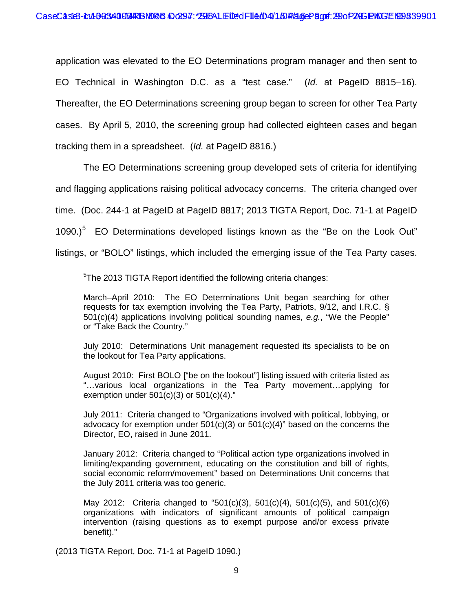application was elevated to the EO Determinations program manager and then sent to EO Technical in Washington D.C. as a "test case." (*Id.* at PageID 8815–16). Thereafter, the EO Determinations screening group began to screen for other Tea Party cases. By April 5, 2010, the screening group had collected eighteen cases and began tracking them in a spreadsheet. (*Id.* at PageID 8816.)

The EO Determinations screening group developed sets of criteria for identifying and flagging applications raising political advocacy concerns. The criteria changed over time. (Doc. 244-1 at PageID at PageID 8817; 2013 TIGTA Report, Doc. 71-1 at PageID 1090.)<sup>5</sup> EO Determinations developed listings known as the "Be on the Look Out" listings, or "BOLO" listings, which included the emerging issue of the Tea Party cases.

July 2010: Determinations Unit management requested its specialists to be on the lookout for Tea Party applications.

August 2010: First BOLO ["be on the lookout"] listing issued with criteria listed as "…various local organizations in the Tea Party movement…applying for exemption under  $501(c)(3)$  or  $501(c)(4)$ ."

July 2011: Criteria changed to "Organizations involved with political, lobbying, or advocacy for exemption under  $501(c)(3)$  or  $501(c)(4)$ " based on the concerns the Director, EO, raised in June 2011.

January 2012: Criteria changed to "Political action type organizations involved in limiting/expanding government, educating on the constitution and bill of rights, social economic reform/movement" based on Determinations Unit concerns that the July 2011 criteria was too generic.

May 2012: Criteria changed to "501(c)(3), 501(c)(4), 501(c)(5), and 501(c)(6) organizations with indicators of significant amounts of political campaign intervention (raising questions as to exempt purpose and/or excess private benefit)."

(2013 TIGTA Report, Doc. 71-1 at PageID 1090.)

 $\overline{a}$ 

<sup>5</sup> The 2013 TIGTA Report identified the following criteria changes:

March–April 2010: The EO Determinations Unit began searching for other requests for tax exemption involving the Tea Party, Patriots, 9/12, and I.R.C. § 501(c)(4) applications involving political sounding names, *e.g.*, "We the People" or "Take Back the Country."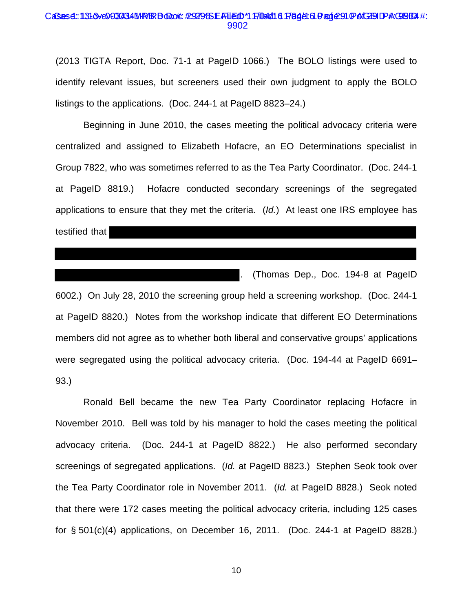#### CaSes4::131&0003434MPRBDood: #9279&EAUED\*1F104/16 Page: 61 Page: 91 PAGEID PAQBB4 #: 9902

(2013 TIGTA Report, Doc. 71-1 at PageID 1066.) The BOLO listings were used to identify relevant issues, but screeners used their own judgment to apply the BOLO listings to the applications. (Doc. 244-1 at PageID 8823–24.)

Beginning in June 2010, the cases meeting the political advocacy criteria were centralized and assigned to Elizabeth Hofacre, an EO Determinations specialist in Group 7822, who was sometimes referred to as the Tea Party Coordinator. (Doc. 244-1 at PageID 8819.) Hofacre conducted secondary screenings of the segregated applications to ensure that they met the criteria. (*Id.*) At least one IRS employee has testified that

. (Thomas Dep., Doc. 194-8 at PageID 6002.) On July 28, 2010 the screening group held a screening workshop. (Doc. 244-1 at PageID 8820.) Notes from the workshop indicate that different EO Determinations members did not agree as to whether both liberal and conservative groups' applications were segregated using the political advocacy criteria. (Doc. 194-44 at PageID 6691– 93.)

Ronald Bell became the new Tea Party Coordinator replacing Hofacre in November 2010. Bell was told by his manager to hold the cases meeting the political advocacy criteria. (Doc. 244-1 at PageID 8822.) He also performed secondary screenings of segregated applications. (*Id.* at PageID 8823.) Stephen Seok took over the Tea Party Coordinator role in November 2011. (*Id.* at PageID 8828.) Seok noted that there were 172 cases meeting the political advocacy criteria, including 125 cases for § 501(c)(4) applications, on December 16, 2011. (Doc. 244-1 at PageID 8828.)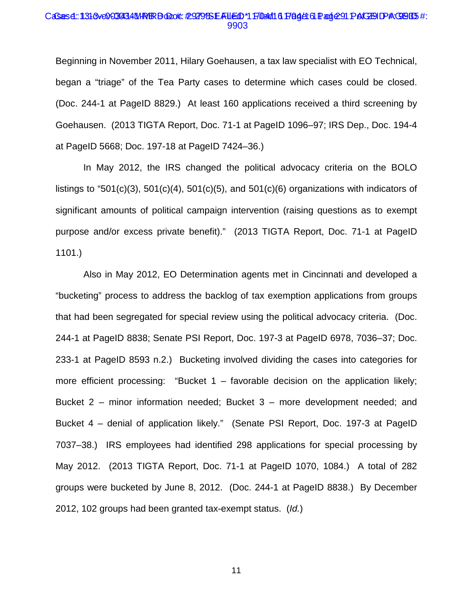#### CaSes4::131&ve0603434M/R/BBolook:#29279&EAFUEdD\*1F/04/0161F8g4L6LPage291PAGENDP#\GBB5#: 9903

Beginning in November 2011, Hilary Goehausen, a tax law specialist with EO Technical, began a "triage" of the Tea Party cases to determine which cases could be closed. (Doc. 244-1 at PageID 8829.) At least 160 applications received a third screening by Goehausen. (2013 TIGTA Report, Doc. 71-1 at PageID 1096–97; IRS Dep., Doc. 194-4 at PageID 5668; Doc. 197-18 at PageID 7424–36.)

In May 2012, the IRS changed the political advocacy criteria on the BOLO listings to "501(c)(3), 501(c)(4), 501(c)(5), and 501(c)(6) organizations with indicators of significant amounts of political campaign intervention (raising questions as to exempt purpose and/or excess private benefit)." (2013 TIGTA Report, Doc. 71-1 at PageID 1101.)

Also in May 2012, EO Determination agents met in Cincinnati and developed a "bucketing" process to address the backlog of tax exemption applications from groups that had been segregated for special review using the political advocacy criteria. (Doc. 244-1 at PageID 8838; Senate PSI Report, Doc. 197-3 at PageID 6978, 7036–37; Doc. 233-1 at PageID 8593 n.2.) Bucketing involved dividing the cases into categories for more efficient processing: "Bucket  $1 -$  favorable decision on the application likely; Bucket 2 – minor information needed; Bucket 3 – more development needed; and Bucket 4 – denial of application likely." (Senate PSI Report, Doc. 197-3 at PageID 7037–38.) IRS employees had identified 298 applications for special processing by May 2012. (2013 TIGTA Report, Doc. 71-1 at PageID 1070, 1084.) A total of 282 groups were bucketed by June 8, 2012. (Doc. 244-1 at PageID 8838.) By December 2012, 102 groups had been granted tax-exempt status. (*Id.*)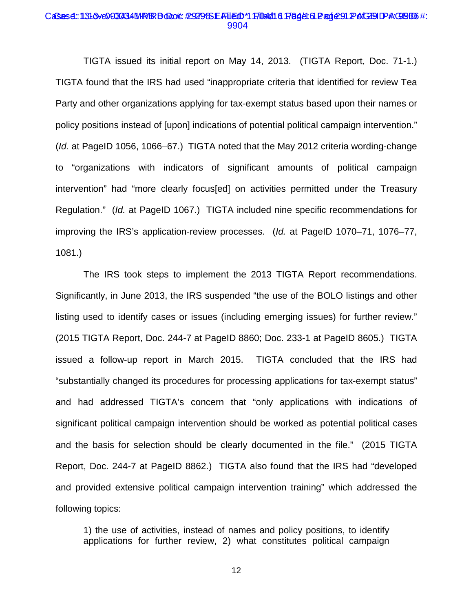#### CaSes4::131&ve0603434M/R/BBolook:#29279&EAILEdD\*1ff04/0161F8g4L61Page291PAGENDP#\GBB6#: 9904

TIGTA issued its initial report on May 14, 2013. (TIGTA Report, Doc. 71-1.) TIGTA found that the IRS had used "inappropriate criteria that identified for review Tea Party and other organizations applying for tax-exempt status based upon their names or policy positions instead of [upon] indications of potential political campaign intervention." (*Id.* at PageID 1056, 1066–67.) TIGTA noted that the May 2012 criteria wording-change to "organizations with indicators of significant amounts of political campaign intervention" had "more clearly focus[ed] on activities permitted under the Treasury Regulation." (*Id.* at PageID 1067.) TIGTA included nine specific recommendations for improving the IRS's application-review processes. (*Id.* at PageID 1070–71, 1076–77, 1081.)

The IRS took steps to implement the 2013 TIGTA Report recommendations. Significantly, in June 2013, the IRS suspended "the use of the BOLO listings and other listing used to identify cases or issues (including emerging issues) for further review." (2015 TIGTA Report, Doc. 244-7 at PageID 8860; Doc. 233-1 at PageID 8605.) TIGTA issued a follow-up report in March 2015. TIGTA concluded that the IRS had "substantially changed its procedures for processing applications for tax-exempt status" and had addressed TIGTA's concern that "only applications with indications of significant political campaign intervention should be worked as potential political cases and the basis for selection should be clearly documented in the file." (2015 TIGTA Report, Doc. 244-7 at PageID 8862.) TIGTA also found that the IRS had "developed and provided extensive political campaign intervention training" which addressed the following topics:

1) the use of activities, instead of names and policy positions, to identify applications for further review, 2) what constitutes political campaign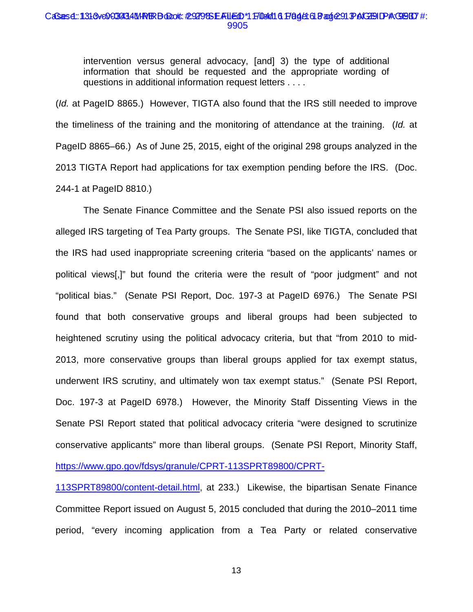#### CaSes4::131&0003434MPRBDood: #9279&EAUED\*1F104/16 Page: 61 Page:91 PAGEIDPAGER7 #: 9905

intervention versus general advocacy, [and] 3) the type of additional information that should be requested and the appropriate wording of questions in additional information request letters . . . .

(*Id.* at PageID 8865.) However, TIGTA also found that the IRS still needed to improve the timeliness of the training and the monitoring of attendance at the training. (*Id.* at PageID 8865–66.) As of June 25, 2015, eight of the original 298 groups analyzed in the 2013 TIGTA Report had applications for tax exemption pending before the IRS. (Doc. 244-1 at PageID 8810.)

The Senate Finance Committee and the Senate PSI also issued reports on the alleged IRS targeting of Tea Party groups. The Senate PSI, like TIGTA, concluded that the IRS had used inappropriate screening criteria "based on the applicants' names or political views[,]" but found the criteria were the result of "poor judgment" and not "political bias." (Senate PSI Report, Doc. 197-3 at PageID 6976.) The Senate PSI found that both conservative groups and liberal groups had been subjected to heightened scrutiny using the political advocacy criteria, but that "from 2010 to mid-2013, more conservative groups than liberal groups applied for tax exempt status, underwent IRS scrutiny, and ultimately won tax exempt status." (Senate PSI Report, Doc. 197-3 at PageID 6978.) However, the Minority Staff Dissenting Views in the Senate PSI Report stated that political advocacy criteria "were designed to scrutinize conservative applicants" more than liberal groups. (Senate PSI Report, Minority Staff, [https://www.gpo.gov/fdsys/granule/CPRT-113SPRT89800/CPRT-](https://www.gpo.gov/fdsys/granule/CPRT-113SPRT89800/CPRT-113SPRT89800/content-detail.html)

[113SPRT89800/content-detail.html,](https://www.gpo.gov/fdsys/granule/CPRT-113SPRT89800/CPRT-113SPRT89800/content-detail.html) at 233.) Likewise, the bipartisan Senate Finance Committee Report issued on August 5, 2015 concluded that during the 2010–2011 time period, "every incoming application from a Tea Party or related conservative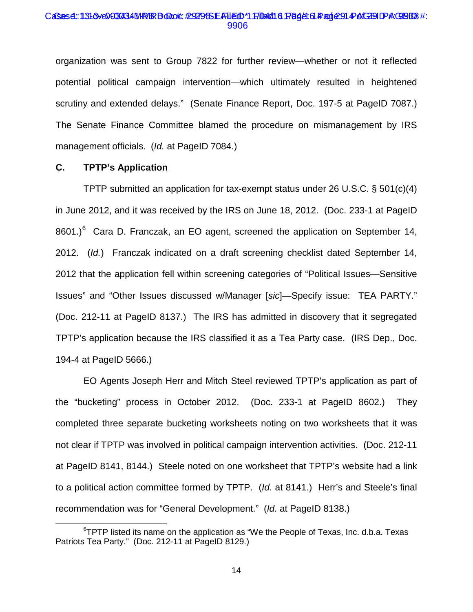#### CaSes4::131&0003434MPRBDood: #9279&EAUED\*1F104/16 Page: 61 Page: 91 Pe1GBID #:E9BB3 #: 9906

organization was sent to Group 7822 for further review—whether or not it reflected potential political campaign intervention—which ultimately resulted in heightened scrutiny and extended delays." (Senate Finance Report, Doc. 197-5 at PageID 7087.) The Senate Finance Committee blamed the procedure on mismanagement by IRS management officials. (*Id.* at PageID 7084.)

# **C. TPTP's Application**

 $\overline{a}$ 

TPTP submitted an application for tax-exempt status under 26 U.S.C. § 501(c)(4) in June 2012, and it was received by the IRS on June 18, 2012. (Doc. 233-1 at PageID 8601.) $^6$  Cara D. Franczak, an EO agent, screened the application on September 14, 2012. (*Id.*) Franczak indicated on a draft screening checklist dated September 14, 2012 that the application fell within screening categories of "Political Issues—Sensitive Issues" and "Other Issues discussed w/Manager [*sic*]—Specify issue: TEA PARTY." (Doc. 212-11 at PageID 8137.) The IRS has admitted in discovery that it segregated TPTP's application because the IRS classified it as a Tea Party case. (IRS Dep., Doc. 194-4 at PageID 5666.)

EO Agents Joseph Herr and Mitch Steel reviewed TPTP's application as part of the "bucketing" process in October 2012. (Doc. 233-1 at PageID 8602.) They completed three separate bucketing worksheets noting on two worksheets that it was not clear if TPTP was involved in political campaign intervention activities. (Doc. 212-11 at PageID 8141, 8144.) Steele noted on one worksheet that TPTP's website had a link to a political action committee formed by TPTP. (*Id.* at 8141.) Herr's and Steele's final recommendation was for "General Development." (*Id.* at PageID 8138.)

<sup>&</sup>lt;sup>6</sup>TPTP listed its name on the application as "We the People of Texas, Inc. d.b.a. Texas Patriots Tea Party." (Doc. 212-11 at PageID 8129.)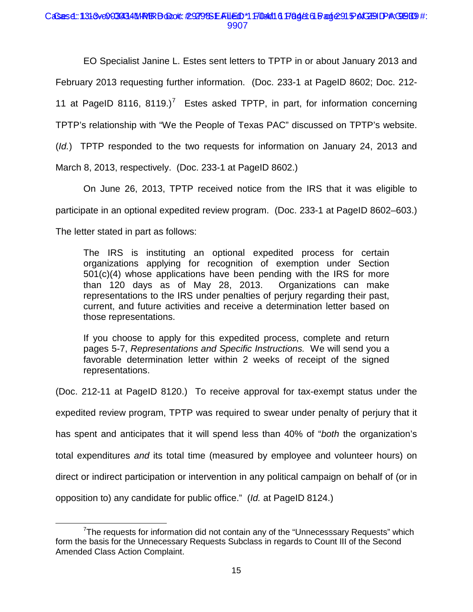# CaSes4::131&0003434MPRBDood: #9279&EAUED\*1F104/16 Page: 61 Bag@91 PAGEID PAGEIS9 #: 9907

EO Specialist Janine L. Estes sent letters to TPTP in or about January 2013 and February 2013 requesting further information. (Doc. 233-1 at PageID 8602; Doc. 212- 11 at PageID 8116, 8119.)<sup>7</sup> Estes asked TPTP, in part, for information concerning TPTP's relationship with "We the People of Texas PAC" discussed on TPTP's website. (*Id.*) TPTP responded to the two requests for information on January 24, 2013 and March 8, 2013, respectively. (Doc. 233-1 at PageID 8602.)

On June 26, 2013, TPTP received notice from the IRS that it was eligible to participate in an optional expedited review program. (Doc. 233-1 at PageID 8602–603.) The letter stated in part as follows:

The IRS is instituting an optional expedited process for certain organizations applying for recognition of exemption under Section  $501(c)(4)$  whose applications have been pending with the IRS for more than 120 days as of May 28, 2013. Organizations can make representations to the IRS under penalties of perjury regarding their past, current, and future activities and receive a determination letter based on those representations.

If you choose to apply for this expedited process, complete and return pages 5-7, *Representations and Specific Instructions.* We will send you a favorable determination letter within 2 weeks of receipt of the signed representations.

(Doc. 212-11 at PageID 8120.) To receive approval for tax-exempt status under the

expedited review program, TPTP was required to swear under penalty of perjury that it

has spent and anticipates that it will spend less than 40% of "*both* the organization's

total expenditures *and* its total time (measured by employee and volunteer hours) on

direct or indirect participation or intervention in any political campaign on behalf of (or in

opposition to) any candidate for public office." (*Id.* at PageID 8124.)

 $\overline{a}$ <sup>7</sup>The requests for information did not contain any of the "Unnecesssary Requests" which form the basis for the Unnecessary Requests Subclass in regards to Count III of the Second Amended Class Action Complaint.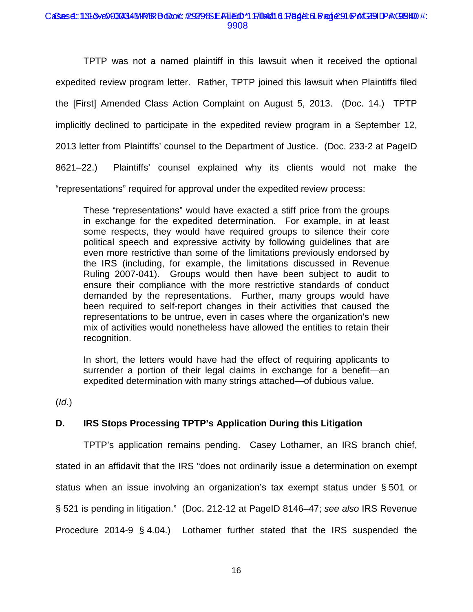### CaSes4::131&0003434MPRBDood: #9279&EAUED\*1F104/16 Page: 61 Bage:91 @ ACEOID #: 9908

TPTP was not a named plaintiff in this lawsuit when it received the optional expedited review program letter. Rather, TPTP joined this lawsuit when Plaintiffs filed the [First] Amended Class Action Complaint on August 5, 2013. (Doc. 14.) TPTP implicitly declined to participate in the expedited review program in a September 12, 2013 letter from Plaintiffs' counsel to the Department of Justice. (Doc. 233-2 at PageID 8621–22.) Plaintiffs' counsel explained why its clients would not make the "representations" required for approval under the expedited review process:

These "representations" would have exacted a stiff price from the groups in exchange for the expedited determination. For example, in at least some respects, they would have required groups to silence their core political speech and expressive activity by following guidelines that are even more restrictive than some of the limitations previously endorsed by the IRS (including, for example, the limitations discussed in Revenue Ruling 2007-041). Groups would then have been subject to audit to ensure their compliance with the more restrictive standards of conduct demanded by the representations. Further, many groups would have been required to self-report changes in their activities that caused the representations to be untrue, even in cases where the organization's new mix of activities would nonetheless have allowed the entities to retain their recognition.

In short, the letters would have had the effect of requiring applicants to surrender a portion of their legal claims in exchange for a benefit—an expedited determination with many strings attached—of dubious value.

(*Id.*)

# **D. IRS Stops Processing TPTP's Application During this Litigation**

TPTP's application remains pending. Casey Lothamer, an IRS branch chief, stated in an affidavit that the IRS "does not ordinarily issue a determination on exempt status when an issue involving an organization's tax exempt status under § 501 or § 521 is pending in litigation." (Doc. 212-12 at PageID 8146–47; *see also* IRS Revenue Procedure 2014-9 § 4.04.) Lothamer further stated that the IRS suspended the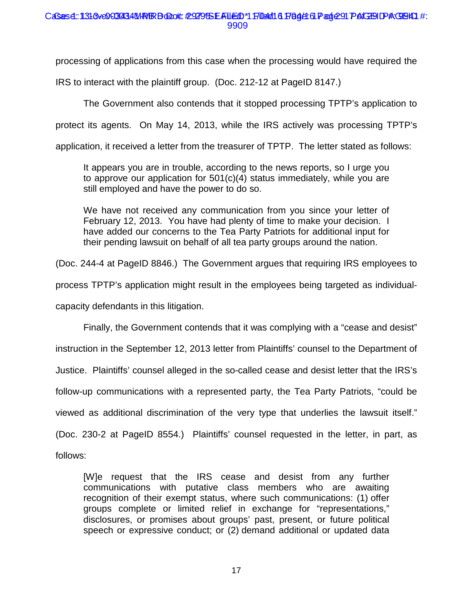# CaSes4::131&ve0603434M/R/BBolook:#29279&EAFUEdD\*1ff0e/d161F8g4L61Pagie291PAGEHDP#\GB4D1#: 9909

processing of applications from this case when the processing would have required the

IRS to interact with the plaintiff group. (Doc. 212-12 at PageID 8147.)

The Government also contends that it stopped processing TPTP's application to

protect its agents. On May 14, 2013, while the IRS actively was processing TPTP's

application, it received a letter from the treasurer of TPTP. The letter stated as follows:

It appears you are in trouble, according to the news reports, so I urge you to approve our application for 501(c)(4) status immediately, while you are still employed and have the power to do so.

We have not received any communication from you since your letter of February 12, 2013. You have had plenty of time to make your decision. I have added our concerns to the Tea Party Patriots for additional input for their pending lawsuit on behalf of all tea party groups around the nation.

(Doc. 244-4 at PageID 8846.) The Government argues that requiring IRS employees to

process TPTP's application might result in the employees being targeted as individual-

capacity defendants in this litigation.

Finally, the Government contends that it was complying with a "cease and desist" instruction in the September 12, 2013 letter from Plaintiffs' counsel to the Department of Justice. Plaintiffs' counsel alleged in the so-called cease and desist letter that the IRS's follow-up communications with a represented party, the Tea Party Patriots, "could be viewed as additional discrimination of the very type that underlies the lawsuit itself." (Doc. 230-2 at PageID 8554.) Plaintiffs' counsel requested in the letter, in part, as follows:

[W]e request that the IRS cease and desist from any further communications with putative class members who are awaiting recognition of their exempt status, where such communications: (1) offer groups complete or limited relief in exchange for "representations," disclosures, or promises about groups' past, present, or future political speech or expressive conduct; or (2) demand additional or updated data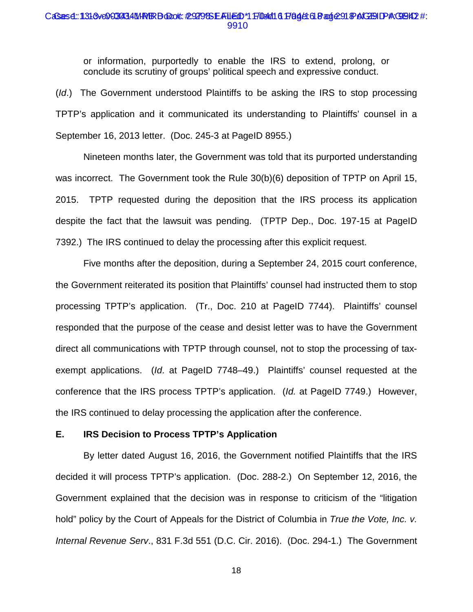#### CaSes4::131&0003434MPRBDood: #9279&EAUED\*1F104/16 Page: 61 Page: 91 PAGEID PAGEH2 #: 9910

or information, purportedly to enable the IRS to extend, prolong, or conclude its scrutiny of groups' political speech and expressive conduct.

(*Id*.) The Government understood Plaintiffs to be asking the IRS to stop processing TPTP's application and it communicated its understanding to Plaintiffs' counsel in a September 16, 2013 letter. (Doc. 245-3 at PageID 8955.)

Nineteen months later, the Government was told that its purported understanding was incorrect. The Government took the Rule 30(b)(6) deposition of TPTP on April 15, 2015. TPTP requested during the deposition that the IRS process its application despite the fact that the lawsuit was pending. (TPTP Dep., Doc. 197-15 at PageID 7392.) The IRS continued to delay the processing after this explicit request.

Five months after the deposition, during a September 24, 2015 court conference, the Government reiterated its position that Plaintiffs' counsel had instructed them to stop processing TPTP's application. (Tr., Doc. 210 at PageID 7744). Plaintiffs' counsel responded that the purpose of the cease and desist letter was to have the Government direct all communications with TPTP through counsel, not to stop the processing of taxexempt applications. (*Id*. at PageID 7748–49.) Plaintiffs' counsel requested at the conference that the IRS process TPTP's application. (*Id.* at PageID 7749.) However, the IRS continued to delay processing the application after the conference.

# **E. IRS Decision to Process TPTP's Application**

By letter dated August 16, 2016, the Government notified Plaintiffs that the IRS decided it will process TPTP's application. (Doc. 288-2.) On September 12, 2016, the Government explained that the decision was in response to criticism of the "litigation hold" policy by the Court of Appeals for the District of Columbia in *True the Vote, Inc. v. Internal Revenue Serv*., 831 F.3d 551 (D.C. Cir. 2016). (Doc. 294-1.) The Government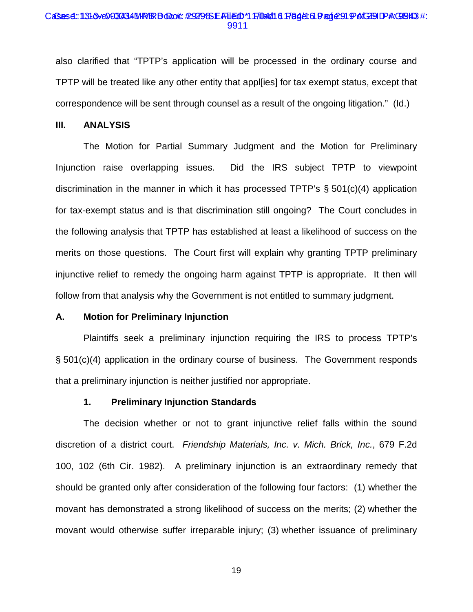#### CaSes4::131&0003434MPRBDood: #9279&EAUED\*1F104/16 Page: 61 Page:91 PAGEID PAQEI43 #: 9911

also clarified that "TPTP's application will be processed in the ordinary course and TPTP will be treated like any other entity that appl[ies] for tax exempt status, except that correspondence will be sent through counsel as a result of the ongoing litigation." (Id.)

# **III. ANALYSIS**

The Motion for Partial Summary Judgment and the Motion for Preliminary Injunction raise overlapping issues. Did the IRS subject TPTP to viewpoint discrimination in the manner in which it has processed TPTP's § 501(c)(4) application for tax-exempt status and is that discrimination still ongoing? The Court concludes in the following analysis that TPTP has established at least a likelihood of success on the merits on those questions. The Court first will explain why granting TPTP preliminary injunctive relief to remedy the ongoing harm against TPTP is appropriate. It then will follow from that analysis why the Government is not entitled to summary judgment.

#### **A. Motion for Preliminary Injunction**

Plaintiffs seek a preliminary injunction requiring the IRS to process TPTP's § 501(c)(4) application in the ordinary course of business. The Government responds that a preliminary injunction is neither justified nor appropriate.

#### **1. Preliminary Injunction Standards**

The decision whether or not to grant injunctive relief falls within the sound discretion of a district court. *Friendship Materials, Inc. v. Mich. Brick, Inc.*, 679 F.2d 100, 102 (6th Cir. 1982). A preliminary injunction is an extraordinary remedy that should be granted only after consideration of the following four factors: (1) whether the movant has demonstrated a strong likelihood of success on the merits; (2) whether the movant would otherwise suffer irreparable injury; (3) whether issuance of preliminary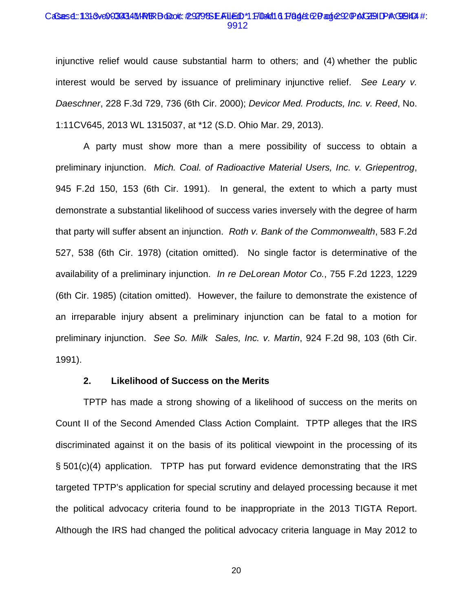#### CaSes4::131&0003434MPRBDood: #9279&EAUED\*1F104/16 Page: 20 age: 20 PAGEID PAGEIP4 #: 9912

injunctive relief would cause substantial harm to others; and (4) whether the public interest would be served by issuance of preliminary injunctive relief. *See Leary v. Daeschner*, 228 F.3d 729, 736 (6th Cir. 2000); *Devicor Med. Products, Inc. v. Reed*, No. 1:11CV645, 2013 WL 1315037, at \*12 (S.D. Ohio Mar. 29, 2013).

A party must show more than a mere possibility of success to obtain a preliminary injunction. *Mich. Coal. of Radioactive Material Users, Inc. v. Griepentrog*, 945 F.2d 150, 153 (6th Cir. 1991). In general, the extent to which a party must demonstrate a substantial likelihood of success varies inversely with the degree of harm that party will suffer absent an injunction. *Roth v. Bank of the Commonwealth*, 583 F.2d 527, 538 (6th Cir. 1978) (citation omitted). No single factor is determinative of the availability of a preliminary injunction. *In re DeLorean Motor Co.*, 755 F.2d 1223, 1229 (6th Cir. 1985) (citation omitted). However, the failure to demonstrate the existence of an irreparable injury absent a preliminary injunction can be fatal to a motion for preliminary injunction. *See So. Milk Sales, Inc. v. Martin*, 924 F.2d 98, 103 (6th Cir. 1991).

### **2. Likelihood of Success on the Merits**

TPTP has made a strong showing of a likelihood of success on the merits on Count II of the Second Amended Class Action Complaint. TPTP alleges that the IRS discriminated against it on the basis of its political viewpoint in the processing of its § 501(c)(4) application. TPTP has put forward evidence demonstrating that the IRS targeted TPTP's application for special scrutiny and delayed processing because it met the political advocacy criteria found to be inappropriate in the 2013 TIGTA Report. Although the IRS had changed the political advocacy criteria language in May 2012 to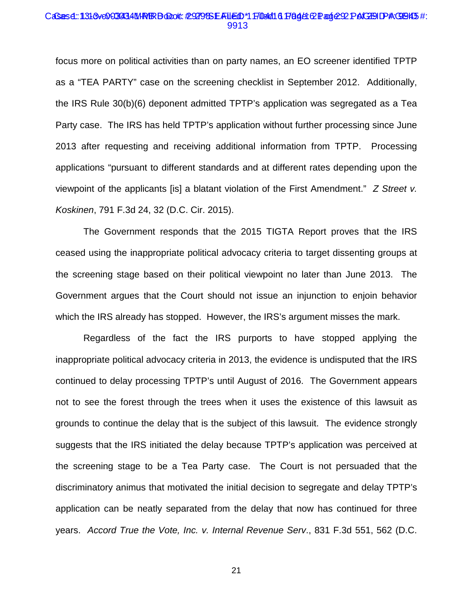#### CaSes4::131&ve0603434M/R/BBolook:#29279&EAILEdD\*1F/04/0161F8gALCPage:22PAGEIDP#\GB45#: 9913

focus more on political activities than on party names, an EO screener identified TPTP as a "TEA PARTY" case on the screening checklist in September 2012. Additionally, the IRS Rule 30(b)(6) deponent admitted TPTP's application was segregated as a Tea Party case. The IRS has held TPTP's application without further processing since June 2013 after requesting and receiving additional information from TPTP. Processing applications "pursuant to different standards and at different rates depending upon the viewpoint of the applicants [is] a blatant violation of the First Amendment." *Z Street v. Koskinen*, 791 F.3d 24, 32 (D.C. Cir. 2015).

The Government responds that the 2015 TIGTA Report proves that the IRS ceased using the inappropriate political advocacy criteria to target dissenting groups at the screening stage based on their political viewpoint no later than June 2013. The Government argues that the Court should not issue an injunction to enjoin behavior which the IRS already has stopped. However, the IRS's argument misses the mark.

Regardless of the fact the IRS purports to have stopped applying the inappropriate political advocacy criteria in 2013, the evidence is undisputed that the IRS continued to delay processing TPTP's until August of 2016. The Government appears not to see the forest through the trees when it uses the existence of this lawsuit as grounds to continue the delay that is the subject of this lawsuit. The evidence strongly suggests that the IRS initiated the delay because TPTP's application was perceived at the screening stage to be a Tea Party case. The Court is not persuaded that the discriminatory animus that motivated the initial decision to segregate and delay TPTP's application can be neatly separated from the delay that now has continued for three years. *Accord True the Vote, Inc. v. Internal Revenue Serv*., 831 F.3d 551, 562 (D.C.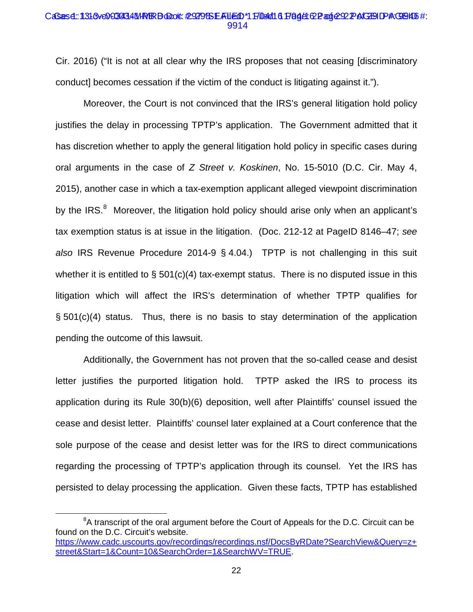### CaSes4::131&0003434MPRBDood: #9279&EAUED\*1F104/16 Page102 age:92 Pe1GBIDPAGB416 #: 9914

Cir. 2016) ("It is not at all clear why the IRS proposes that not ceasing [discriminatory conduct] becomes cessation if the victim of the conduct is litigating against it.").

Moreover, the Court is not convinced that the IRS's general litigation hold policy justifies the delay in processing TPTP's application. The Government admitted that it has discretion whether to apply the general litigation hold policy in specific cases during oral arguments in the case of *Z Street v. Koskinen*, No. 15-5010 (D.C. Cir. May 4, 2015), another case in which a tax-exemption applicant alleged viewpoint discrimination by the IRS.<sup>8</sup> Moreover, the litigation hold policy should arise only when an applicant's tax exemption status is at issue in the litigation. (Doc. 212-12 at PageID 8146–47; *see also* IRS Revenue Procedure 2014-9 § 4.04.) TPTP is not challenging in this suit whether it is entitled to  $\S$  501(c)(4) tax-exempt status. There is no disputed issue in this litigation which will affect the IRS's determination of whether TPTP qualifies for § 501(c)(4) status. Thus, there is no basis to stay determination of the application pending the outcome of this lawsuit.

Additionally, the Government has not proven that the so-called cease and desist letter justifies the purported litigation hold. TPTP asked the IRS to process its application during its Rule 30(b)(6) deposition, well after Plaintiffs' counsel issued the cease and desist letter. Plaintiffs' counsel later explained at a Court conference that the sole purpose of the cease and desist letter was for the IRS to direct communications regarding the processing of TPTP's application through its counsel. Yet the IRS has persisted to delay processing the application. Given these facts, TPTP has established

<sup>8</sup>  ${}^{8}$ A transcript of the oral argument before the Court of Appeals for the D.C. Circuit can be found on the D.C. Circuit's website. [https://www.cadc.uscourts.gov/recordings/recordings.nsf/DocsByRDate?SearchView&Query=z+](https://www.cadc.uscourts.gov/recordings/recordings.nsf/DocsByRDate?SearchView&Query=z+street&Start=1&Count=10&SearchOrder=1&SearchWV=TRUE) [street&Start=1&Count=10&SearchOrder=1&SearchWV=TRUE.](https://www.cadc.uscourts.gov/recordings/recordings.nsf/DocsByRDate?SearchView&Query=z+street&Start=1&Count=10&SearchOrder=1&SearchWV=TRUE)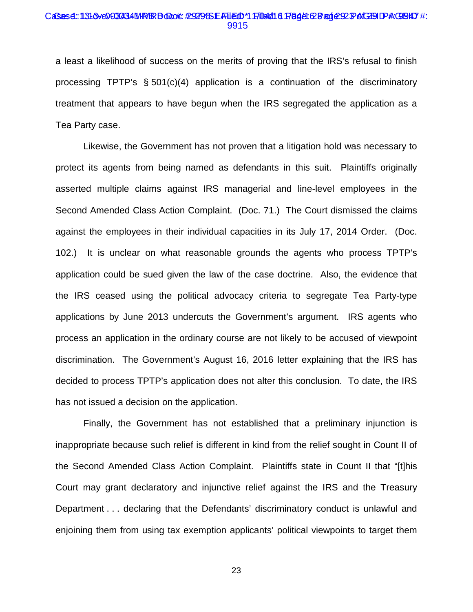#### CaSes4::131&0003434MPRBDood: #929SEAUED\*1FI04/16 PAgA: CBag&92PAGEIDPAGBA7 #: 9915

a least a likelihood of success on the merits of proving that the IRS's refusal to finish processing TPTP's § 501(c)(4) application is a continuation of the discriminatory treatment that appears to have begun when the IRS segregated the application as a Tea Party case.

Likewise, the Government has not proven that a litigation hold was necessary to protect its agents from being named as defendants in this suit. Plaintiffs originally asserted multiple claims against IRS managerial and line-level employees in the Second Amended Class Action Complaint. (Doc. 71.) The Court dismissed the claims against the employees in their individual capacities in its July 17, 2014 Order. (Doc. 102.) It is unclear on what reasonable grounds the agents who process TPTP's application could be sued given the law of the case doctrine. Also, the evidence that the IRS ceased using the political advocacy criteria to segregate Tea Party-type applications by June 2013 undercuts the Government's argument. IRS agents who process an application in the ordinary course are not likely to be accused of viewpoint discrimination. The Government's August 16, 2016 letter explaining that the IRS has decided to process TPTP's application does not alter this conclusion. To date, the IRS has not issued a decision on the application.

Finally, the Government has not established that a preliminary injunction is inappropriate because such relief is different in kind from the relief sought in Count II of the Second Amended Class Action Complaint. Plaintiffs state in Count II that "[t]his Court may grant declaratory and injunctive relief against the IRS and the Treasury Department . . . declaring that the Defendants' discriminatory conduct is unlawful and enjoining them from using tax exemption applicants' political viewpoints to target them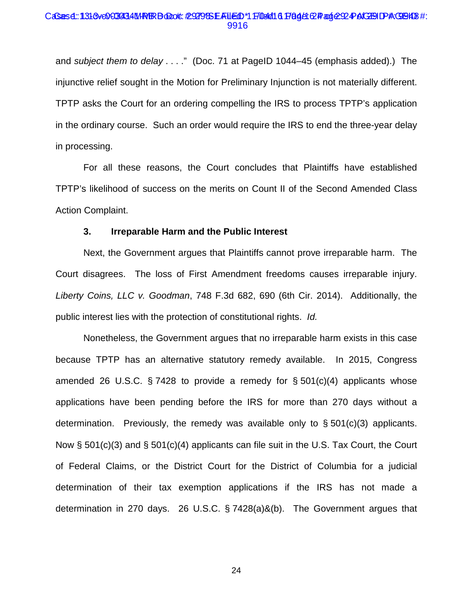#### CaSes4::131&0003434MPRBDood: #9279&EAUED\*1F104/16 Page1CPage:224PAGEIDPAGEI48#: 9916

and *subject them to delay* . . . ." (Doc. 71 at PageID 1044–45 (emphasis added).) The injunctive relief sought in the Motion for Preliminary Injunction is not materially different. TPTP asks the Court for an ordering compelling the IRS to process TPTP's application in the ordinary course. Such an order would require the IRS to end the three-year delay in processing.

For all these reasons, the Court concludes that Plaintiffs have established TPTP's likelihood of success on the merits on Count II of the Second Amended Class Action Complaint.

#### **3. Irreparable Harm and the Public Interest**

Next, the Government argues that Plaintiffs cannot prove irreparable harm. The Court disagrees. The loss of First Amendment freedoms causes irreparable injury. *Liberty Coins, LLC v. Goodman*, 748 F.3d 682, 690 (6th Cir. 2014). Additionally, the public interest lies with the protection of constitutional rights. *Id.* 

Nonetheless, the Government argues that no irreparable harm exists in this case because TPTP has an alternative statutory remedy available. In 2015, Congress amended 26 U.S.C.  $\S$  7428 to provide a remedy for  $\S$  501(c)(4) applicants whose applications have been pending before the IRS for more than 270 days without a determination. Previously, the remedy was available only to  $\S 501(c)(3)$  applicants. Now § 501(c)(3) and § 501(c)(4) applicants can file suit in the U.S. Tax Court, the Court of Federal Claims, or the District Court for the District of Columbia for a judicial determination of their tax exemption applications if the IRS has not made a determination in 270 days. 26 U.S.C. § 7428(a)&(b). The Government argues that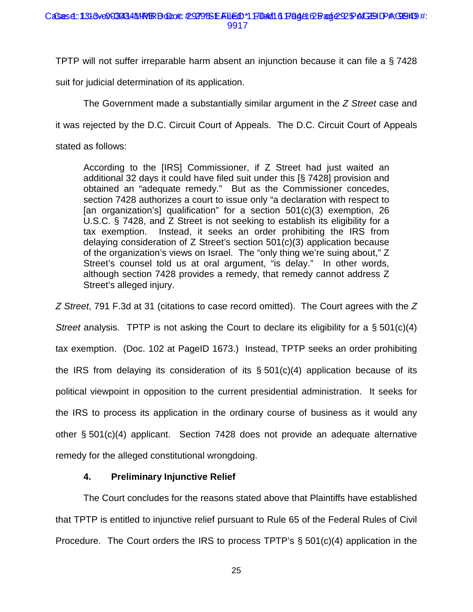TPTP will not suffer irreparable harm absent an injunction because it can file a § 7428

suit for judicial determination of its application.

The Government made a substantially similar argument in the *Z Street* case and

it was rejected by the D.C. Circuit Court of Appeals. The D.C. Circuit Court of Appeals

stated as follows:

According to the [IRS] Commissioner, if Z Street had just waited an additional 32 days it could have filed suit under this [§ 7428] provision and obtained an "adequate remedy." But as the Commissioner concedes, section 7428 authorizes a court to issue only "a declaration with respect to [an organization's] qualification" for a section 501(c)(3) exemption, 26 U.S.C. § 7428, and Z Street is not seeking to establish its eligibility for a tax exemption. Instead, it seeks an order prohibiting the IRS from delaying consideration of Z Street's section 501(c)(3) application because of the organization's views on Israel. The "only thing we're suing about," Z Street's counsel told us at oral argument, "is delay." In other words, although section 7428 provides a remedy, that remedy cannot address Z Street's alleged injury.

*Z Street*, 791 F.3d at 31 (citations to case record omitted). The Court agrees with the *Z Street* analysis. TPTP is not asking the Court to declare its eligibility for a § 501(c)(4) tax exemption. (Doc. 102 at PageID 1673.) Instead, TPTP seeks an order prohibiting the IRS from delaying its consideration of its  $\S$  501(c)(4) application because of its political viewpoint in opposition to the current presidential administration. It seeks for the IRS to process its application in the ordinary course of business as it would any other § 501(c)(4) applicant. Section 7428 does not provide an adequate alternative remedy for the alleged constitutional wrongdoing.

# **4. Preliminary Injunctive Relief**

The Court concludes for the reasons stated above that Plaintiffs have established that TPTP is entitled to injunctive relief pursuant to Rule 65 of the Federal Rules of Civil Procedure. The Court orders the IRS to process TPTP's § 501(c)(4) application in the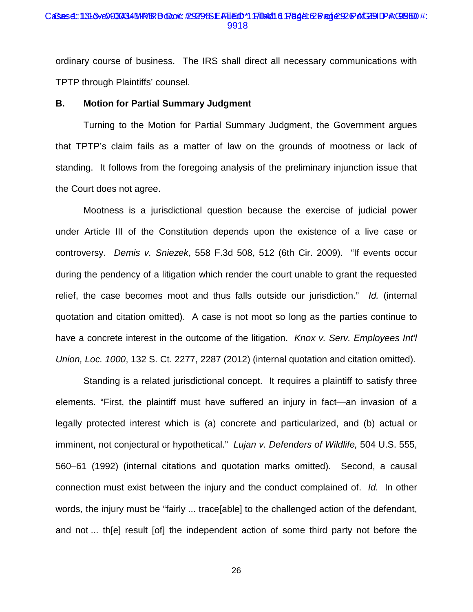#### CaSes4::131&0003434MPRBDood: #9279&EAUED\*1F104/16 Page: CBage: 20 DAGEID PAGEBD #: 9918

ordinary course of business. The IRS shall direct all necessary communications with TPTP through Plaintiffs' counsel.

### **B. Motion for Partial Summary Judgment**

Turning to the Motion for Partial Summary Judgment, the Government argues that TPTP's claim fails as a matter of law on the grounds of mootness or lack of standing. It follows from the foregoing analysis of the preliminary injunction issue that the Court does not agree.

Mootness is a jurisdictional question because the exercise of judicial power under Article III of the Constitution depends upon the existence of a live case or controversy. *Demis v. Sniezek*, 558 F.3d 508, 512 (6th Cir. 2009). "If events occur during the pendency of a litigation which render the court unable to grant the requested relief, the case becomes moot and thus falls outside our jurisdiction." *Id.* (internal quotation and citation omitted). A case is not moot so long as the parties continue to have a concrete interest in the outcome of the litigation. *Knox v. Serv. Employees Int'l Union, Loc. 1000*, 132 S. Ct. 2277, 2287 (2012) (internal quotation and citation omitted).

Standing is a related jurisdictional concept. It requires a plaintiff to satisfy three elements. "First, the plaintiff must have suffered an injury in fact—an invasion of a legally protected interest which is (a) concrete and particularized, and (b) actual or imminent, not conjectural or hypothetical." *Lujan v. Defenders of Wildlife,* 504 U.S. 555, 560–61 (1992) (internal citations and quotation marks omitted). Second, a causal connection must exist between the injury and the conduct complained of. *Id.* In other words, the injury must be "fairly ... trace[able] to the challenged action of the defendant, and not ... th[e] result [of] the independent action of some third party not before the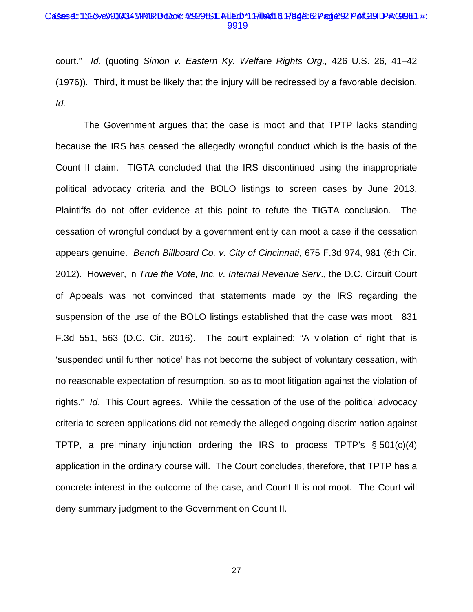#### CaSes4::131&0003434MPRBDood: #9279&EAUED\*1F104/16 Page1CPage:22 PAGEIDPAGBB1 #: 9919

court." *Id.* (quoting *Simon v. Eastern Ky. Welfare Rights Org.,* 426 U.S. 26, 41–42 (1976)). Third, it must be likely that the injury will be redressed by a favorable decision. *Id.*

The Government argues that the case is moot and that TPTP lacks standing because the IRS has ceased the allegedly wrongful conduct which is the basis of the Count II claim. TIGTA concluded that the IRS discontinued using the inappropriate political advocacy criteria and the BOLO listings to screen cases by June 2013. Plaintiffs do not offer evidence at this point to refute the TIGTA conclusion. The cessation of wrongful conduct by a government entity can moot a case if the cessation appears genuine. *Bench Billboard Co. v. City of Cincinnati*, 675 F.3d 974, 981 (6th Cir. 2012). However, in *True the Vote, Inc. v. Internal Revenue Serv*., the D.C. Circuit Court of Appeals was not convinced that statements made by the IRS regarding the suspension of the use of the BOLO listings established that the case was moot. 831 F.3d 551, 563 (D.C. Cir. 2016). The court explained: "A violation of right that is 'suspended until further notice' has not become the subject of voluntary cessation, with no reasonable expectation of resumption, so as to moot litigation against the violation of rights." *Id*. This Court agrees. While the cessation of the use of the political advocacy criteria to screen applications did not remedy the alleged ongoing discrimination against TPTP, a preliminary injunction ordering the IRS to process TPTP's § 501(c)(4) application in the ordinary course will. The Court concludes, therefore, that TPTP has a concrete interest in the outcome of the case, and Count II is not moot. The Court will deny summary judgment to the Government on Count II.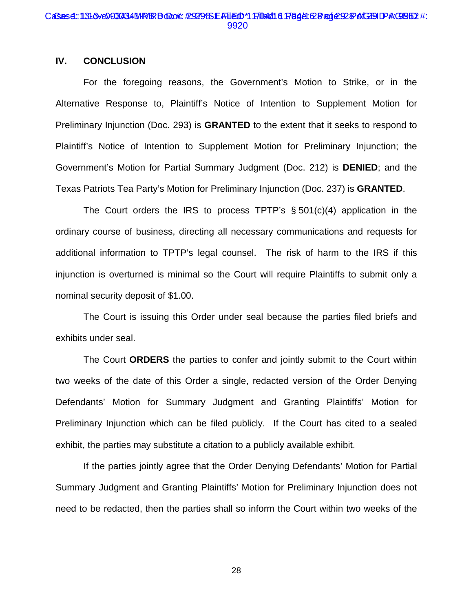#### CaSes4::131&0003434MPRBDood: #929SEAUED\*1FI04/16 Page1028aoje22&BaGEIDPAGBB12 #: 9920

# **IV. CONCLUSION**

For the foregoing reasons, the Government's Motion to Strike, or in the Alternative Response to, Plaintiff's Notice of Intention to Supplement Motion for Preliminary Injunction (Doc. 293) is **GRANTED** to the extent that it seeks to respond to Plaintiff's Notice of Intention to Supplement Motion for Preliminary Injunction; the Government's Motion for Partial Summary Judgment (Doc. 212) is **DENIED**; and the Texas Patriots Tea Party's Motion for Preliminary Injunction (Doc. 237) is **GRANTED**.

The Court orders the IRS to process TPTP's  $\S 501(c)(4)$  application in the ordinary course of business, directing all necessary communications and requests for additional information to TPTP's legal counsel. The risk of harm to the IRS if this injunction is overturned is minimal so the Court will require Plaintiffs to submit only a nominal security deposit of \$1.00.

The Court is issuing this Order under seal because the parties filed briefs and exhibits under seal.

The Court **ORDERS** the parties to confer and jointly submit to the Court within two weeks of the date of this Order a single, redacted version of the Order Denying Defendants' Motion for Summary Judgment and Granting Plaintiffs' Motion for Preliminary Injunction which can be filed publicly. If the Court has cited to a sealed exhibit, the parties may substitute a citation to a publicly available exhibit.

If the parties jointly agree that the Order Denying Defendants' Motion for Partial Summary Judgment and Granting Plaintiffs' Motion for Preliminary Injunction does not need to be redacted, then the parties shall so inform the Court within two weeks of the